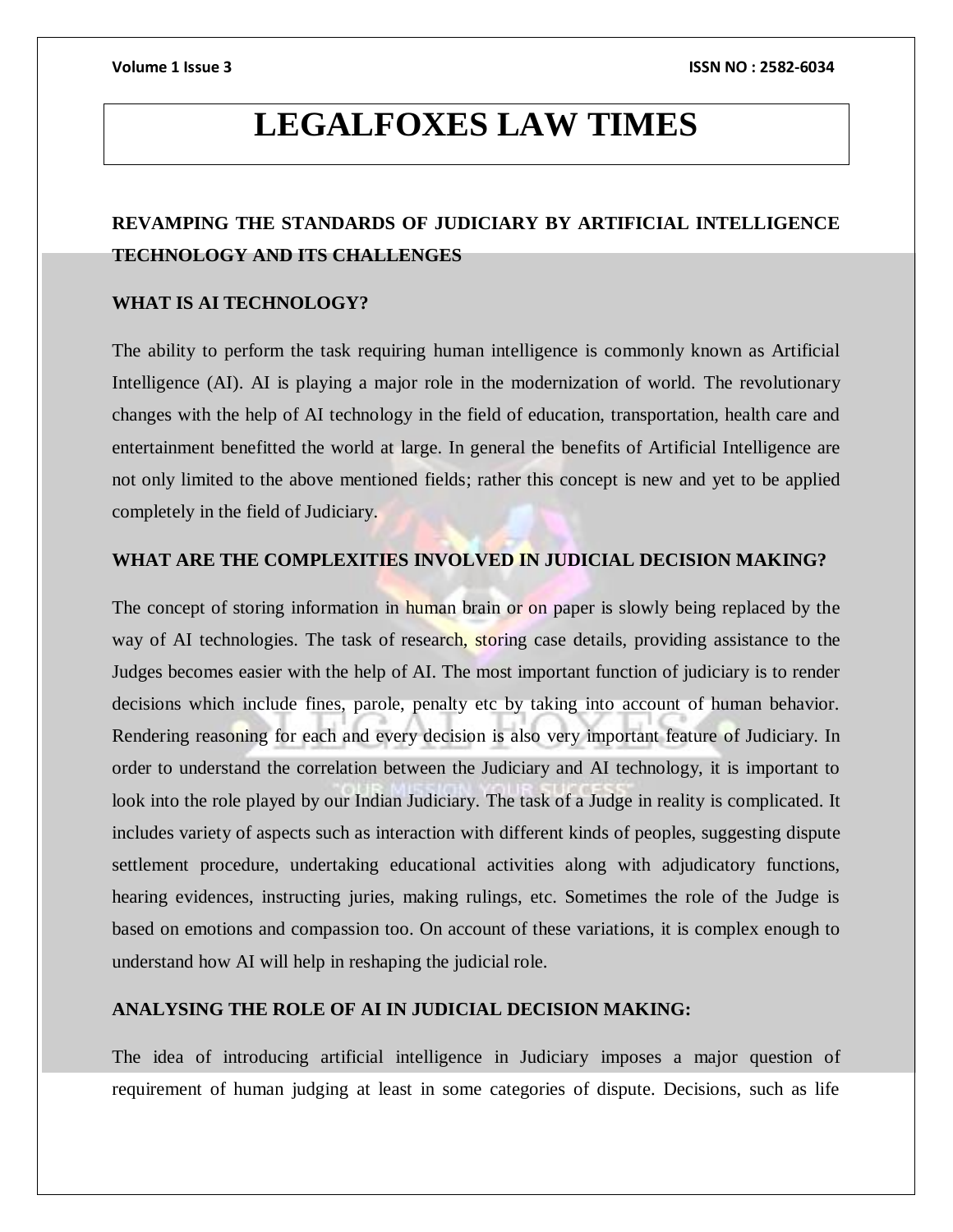# **LEGALFOXES LAW TIMES**

## **REVAMPING THE STANDARDS OF JUDICIARY BY ARTIFICIAL INTELLIGENCE TECHNOLOGY AND ITS CHALLENGES**

### **WHAT IS AI TECHNOLOGY?**

The ability to perform the task requiring human intelligence is commonly known as Artificial Intelligence (AI). AI is playing a major role in the modernization of world. The revolutionary changes with the help of AI technology in the field of education, transportation, health care and entertainment benefitted the world at large. In general the benefits of Artificial Intelligence are not only limited to the above mentioned fields; rather this concept is new and yet to be applied completely in the field of Judiciary.

### **WHAT ARE THE COMPLEXITIES INVOLVED IN JUDICIAL DECISION MAKING?**

The concept of storing information in human brain or on paper is slowly being replaced by the way of AI technologies. The task of research, storing case details, providing assistance to the Judges becomes easier with the help of AI. The most important function of judiciary is to render decisions which include fines, parole, penalty etc by taking into account of human behavior. Rendering reasoning for each and every decision is also very important feature of Judiciary. In order to understand the correlation between the Judiciary and AI technology, it is important to look into the role played by our Indian Judiciary. The task of a Judge in reality is complicated. It includes variety of aspects such as interaction with different kinds of peoples, suggesting dispute settlement procedure, undertaking educational activities along with adjudicatory functions, hearing evidences, instructing juries, making rulings, etc. Sometimes the role of the Judge is based on emotions and compassion too. On account of these variations, it is complex enough to understand how AI will help in reshaping the judicial role.

### **ANALYSING THE ROLE OF AI IN JUDICIAL DECISION MAKING:**

The idea of introducing artificial intelligence in Judiciary imposes a major question of requirement of human judging at least in some categories of dispute. Decisions, such as life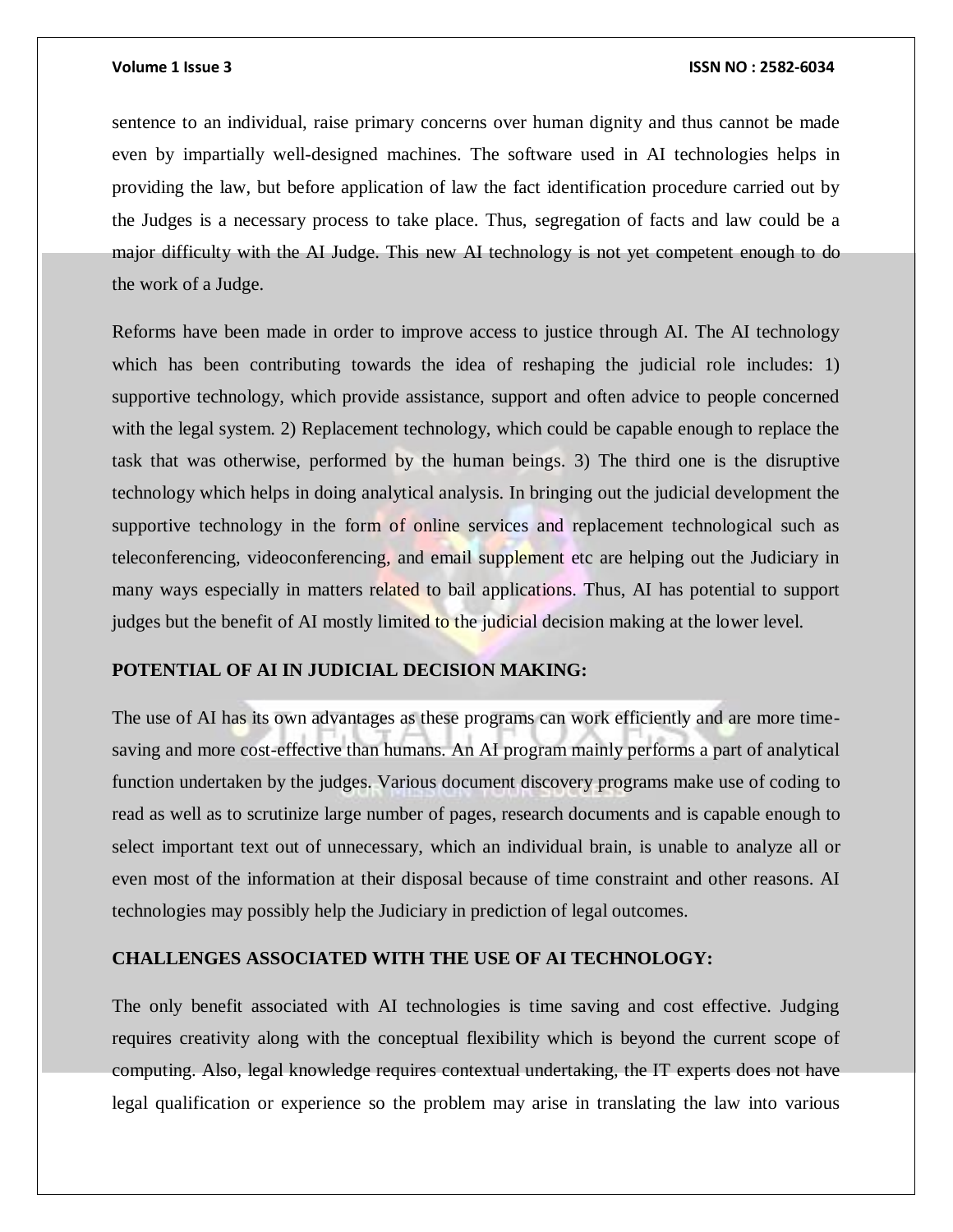### **Volume 1 Issue 3 ISSN NO : 2582-6034**

sentence to an individual, raise primary concerns over human dignity and thus cannot be made even by impartially well-designed machines. The software used in AI technologies helps in providing the law, but before application of law the fact identification procedure carried out by the Judges is a necessary process to take place. Thus, segregation of facts and law could be a major difficulty with the AI Judge. This new AI technology is not yet competent enough to do the work of a Judge.

Reforms have been made in order to improve access to justice through AI. The AI technology which has been contributing towards the idea of reshaping the judicial role includes: 1) supportive technology, which provide assistance, support and often advice to people concerned with the legal system. 2) Replacement technology, which could be capable enough to replace the task that was otherwise, performed by the human beings. 3) The third one is the disruptive technology which helps in doing analytical analysis. In bringing out the judicial development the supportive technology in the form of online services and replacement technological such as teleconferencing, videoconferencing, and email supplement etc are helping out the Judiciary in many ways especially in matters related to bail applications. Thus, AI has potential to support judges but the benefit of AI mostly limited to the judicial decision making at the lower level.

### **POTENTIAL OF AI IN JUDICIAL DECISION MAKING:**

The use of AI has its own advantages as these programs can work efficiently and are more timesaving and more cost-effective than humans. An AI program mainly performs a part of analytical function undertaken by the judges. Various document discovery programs make use of coding to read as well as to scrutinize large number of pages, research documents and is capable enough to select important text out of unnecessary, which an individual brain, is unable to analyze all or even most of the information at their disposal because of time constraint and other reasons. AI technologies may possibly help the Judiciary in prediction of legal outcomes.

### **CHALLENGES ASSOCIATED WITH THE USE OF AI TECHNOLOGY:**

The only benefit associated with AI technologies is time saving and cost effective. Judging requires creativity along with the conceptual flexibility which is beyond the current scope of computing. Also, legal knowledge requires contextual undertaking, the IT experts does not have legal qualification or experience so the problem may arise in translating the law into various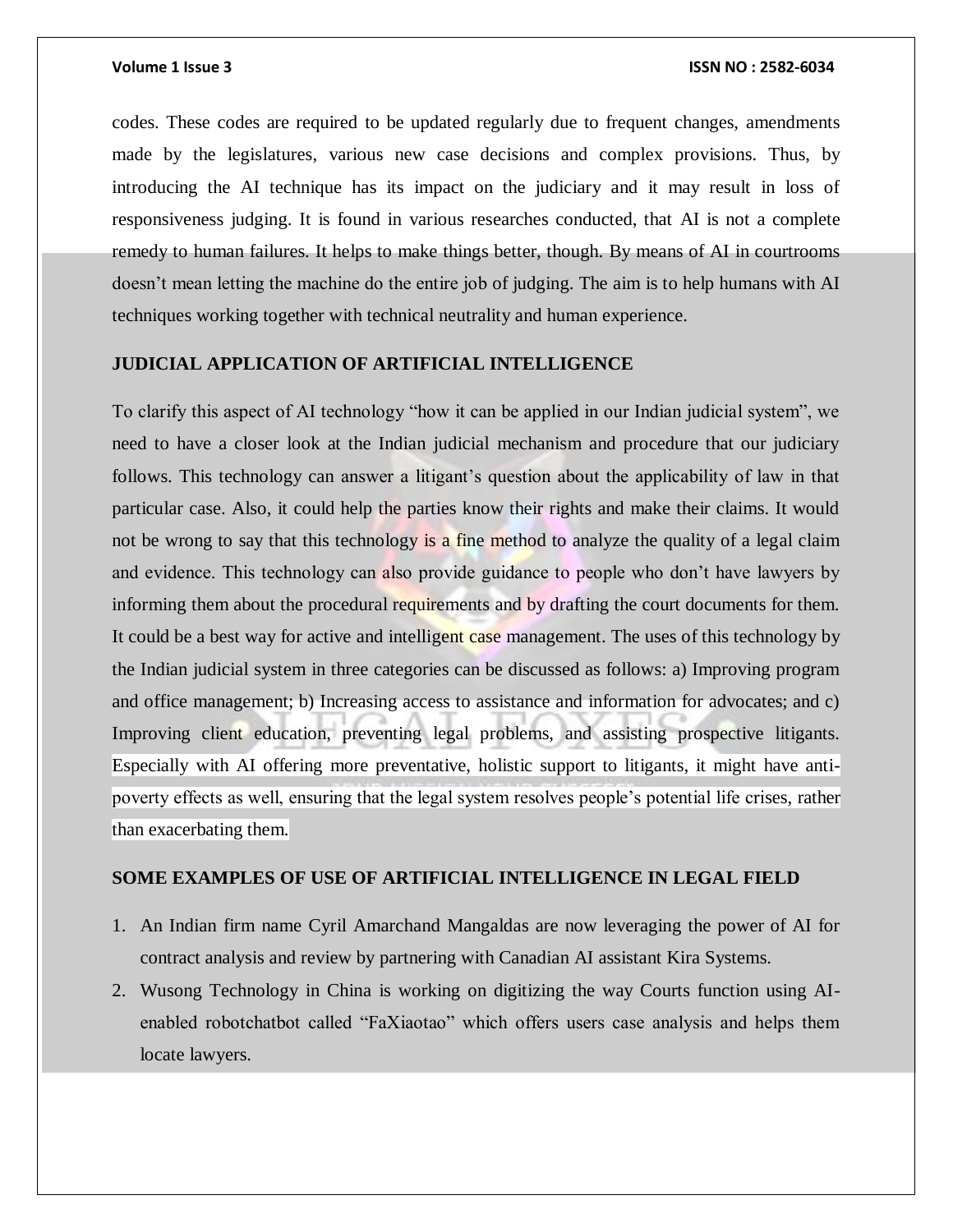codes. These codes are required to be updated regularly due to frequent changes, amendments made by the legislatures, various new case decisions and complex provisions. Thus, by introducing the AI technique has its impact on the judiciary and it may result in loss of responsiveness judging. It is found in various researches conducted, that AI is not a complete remedy to human failures. It helps to make things better, though. By means of AI in courtrooms doesn't mean letting the machine do the entire job of judging. The aim is to help humans with AI techniques working together with technical neutrality and human experience.

### **JUDICIAL APPLICATION OF ARTIFICIAL INTELLIGENCE**

To clarify this aspect of AI technology "how it can be applied in our Indian judicial system", we need to have a closer look at the Indian judicial mechanism and procedure that our judiciary follows. This technology can answer a litigant's question about the applicability of law in that particular case. Also, it could help the parties know their rights and make their claims. It would not be wrong to say that this technology is a fine method to analyze the quality of a legal claim and evidence. This technology can also provide guidance to people who don't have lawyers by informing them about the procedural requirements and by drafting the court documents for them. It could be a best way for active and intelligent case management. The uses of this technology by the Indian judicial system in three categories can be discussed as follows: a) Improving program and office management; b) Increasing access to assistance and information for advocates; and c) Improving client education, preventing legal problems, and assisting prospective litigants. Especially with AI offering more preventative, holistic support to litigants, it might have antipoverty effects as well, ensuring that the legal system resolves people's potential life crises, rather than exacerbating them.

### **SOME EXAMPLES OF USE OF ARTIFICIAL INTELLIGENCE IN LEGAL FIELD**

- 1. An Indian firm name Cyril Amarchand Mangaldas are now leveraging the power of AI for contract analysis and review by partnering with Canadian AI assistant Kira Systems.
- 2. Wusong Technology in China is working on digitizing the way Courts function using AIenabled robotchatbot called "FaXiaotao" which offers users case analysis and helps them locate lawyers.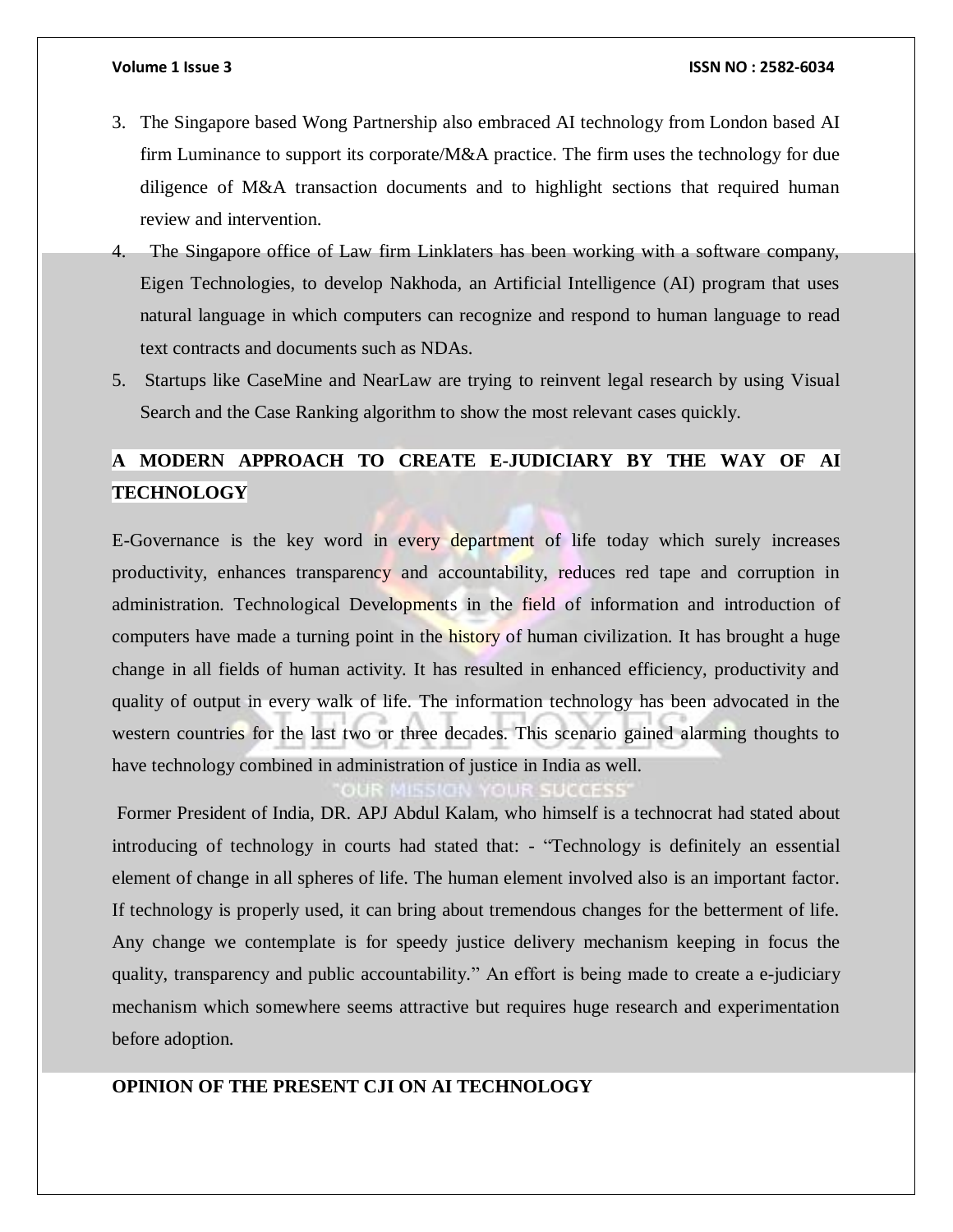- 3. The Singapore based Wong Partnership also embraced AI technology from London based AI firm Luminance to support its corporate/M&A practice. The firm uses the technology for due diligence of M&A transaction documents and to highlight sections that required human review and intervention.
- 4. The Singapore office of Law firm Linklaters has been working with a software company, Eigen Technologies, to develop Nakhoda, an Artificial Intelligence (AI) program that uses natural language in which computers can recognize and respond to human language to read text contracts and documents such as NDAs.
- 5. Startups like CaseMine and NearLaw are trying to reinvent legal research by using Visual Search and the Case Ranking algorithm to show the most relevant cases quickly.

# **A MODERN APPROACH TO CREATE E-JUDICIARY BY THE WAY OF AI TECHNOLOGY**

E-Governance is the key word in every department of life today which surely increases productivity, enhances transparency and accountability, reduces red tape and corruption in administration. Technological Developments in the field of information and introduction of computers have made a turning point in the history of human civilization. It has brought a huge change in all fields of human activity. It has resulted in enhanced efficiency, productivity and quality of output in every walk of life. The information technology has been advocated in the western countries for the last two or three decades. This scenario gained alarming thoughts to have technology combined in administration of justice in India as well.

Former President of India, DR. APJ Abdul Kalam, who himself is a technocrat had stated about introducing of technology in courts had stated that: - "Technology is definitely an essential element of change in all spheres of life. The human element involved also is an important factor. If technology is properly used, it can bring about tremendous changes for the betterment of life. Any change we contemplate is for speedy justice delivery mechanism keeping in focus the quality, transparency and public accountability." An effort is being made to create a e-judiciary mechanism which somewhere seems attractive but requires huge research and experimentation before adoption.

### **OPINION OF THE PRESENT CJI ON AI TECHNOLOGY**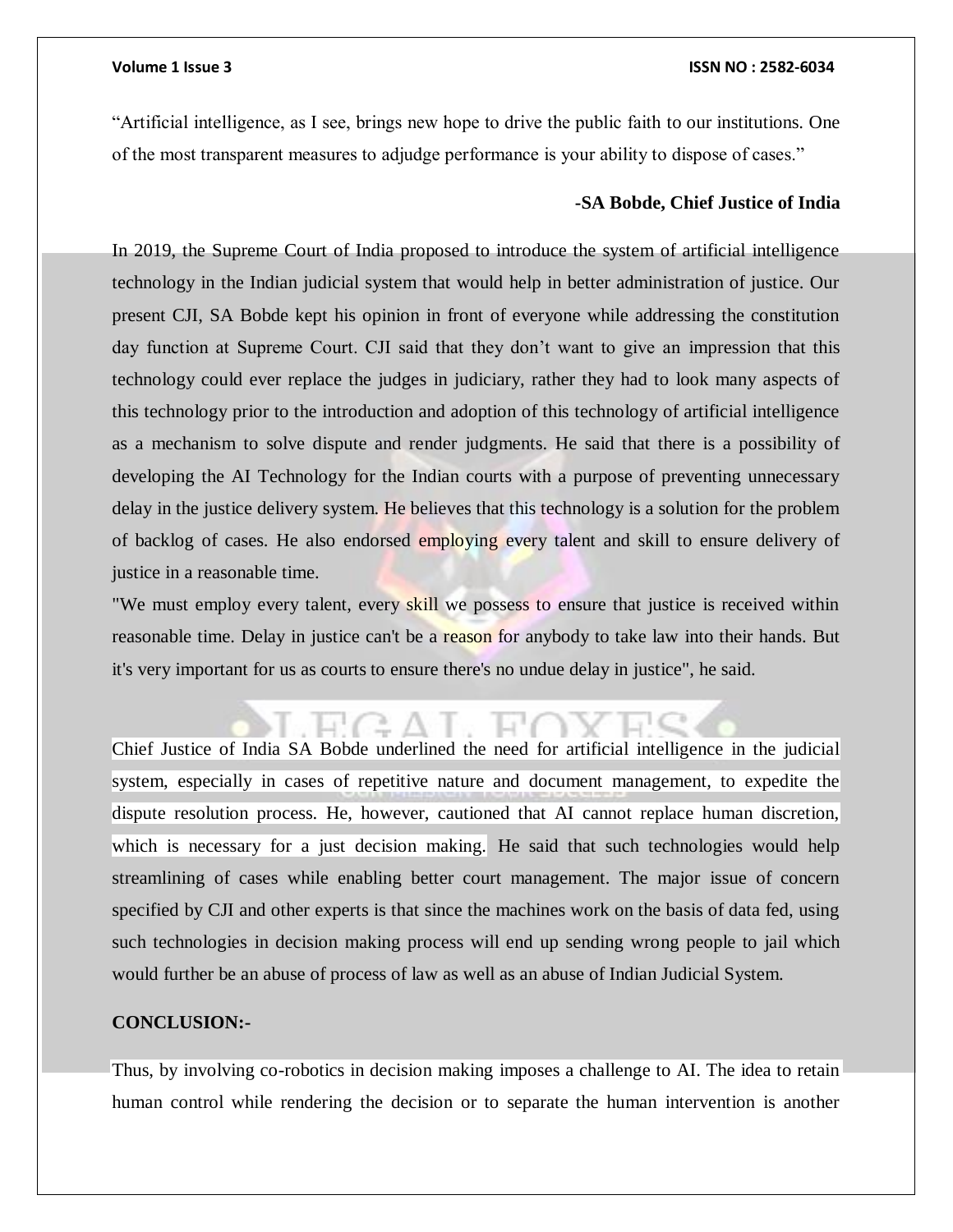### **Volume 1 Issue 3 ISSN NO : 2582-6034**

"Artificial intelligence, as I see, brings new hope to drive the public faith to our institutions. One of the most transparent measures to adjudge performance is your ability to dispose of cases."

### **-SA Bobde, Chief Justice of India**

In 2019, the Supreme Court of India proposed to introduce the system of artificial intelligence technology in the Indian judicial system that would help in better administration of justice. Our present CJI, SA Bobde kept his opinion in front of everyone while addressing the constitution day function at Supreme Court. CJI said that they don't want to give an impression that this technology could ever replace the judges in judiciary, rather they had to look many aspects of this technology prior to the introduction and adoption of this technology of artificial intelligence as a mechanism to solve dispute and render judgments. He said that there is a possibility of developing the AI Technology for the Indian courts with a purpose of preventing unnecessary delay in the justice delivery system. He believes that this technology is a solution for the problem of backlog of cases. He also endorsed employing every talent and skill to ensure delivery of justice in a reasonable time.

"We must employ every talent, every skill we possess to ensure that justice is received within reasonable time. Delay in justice can't be a reason for anybody to take law into their hands. But it's very important for us as courts to ensure there's no undue delay in justice", he said.

Chief Justice of India SA Bobde underlined the need for artificial intelligence in the judicial system, especially in cases of repetitive nature and document management, to expedite the dispute resolution process. He, however, cautioned that AI cannot replace human discretion, which is necessary for a just decision making. He said that such technologies would help streamlining of cases while enabling better court management. The major issue of concern specified by CJI and other experts is that since the machines work on the basis of data fed, using such technologies in decision making process will end up sending wrong people to jail which would further be an abuse of process of law as well as an abuse of Indian Judicial System.

### **CONCLUSION:-**

Thus, by involving co-robotics in decision making imposes a challenge to AI. The idea to retain human control while rendering the decision or to separate the human intervention is another